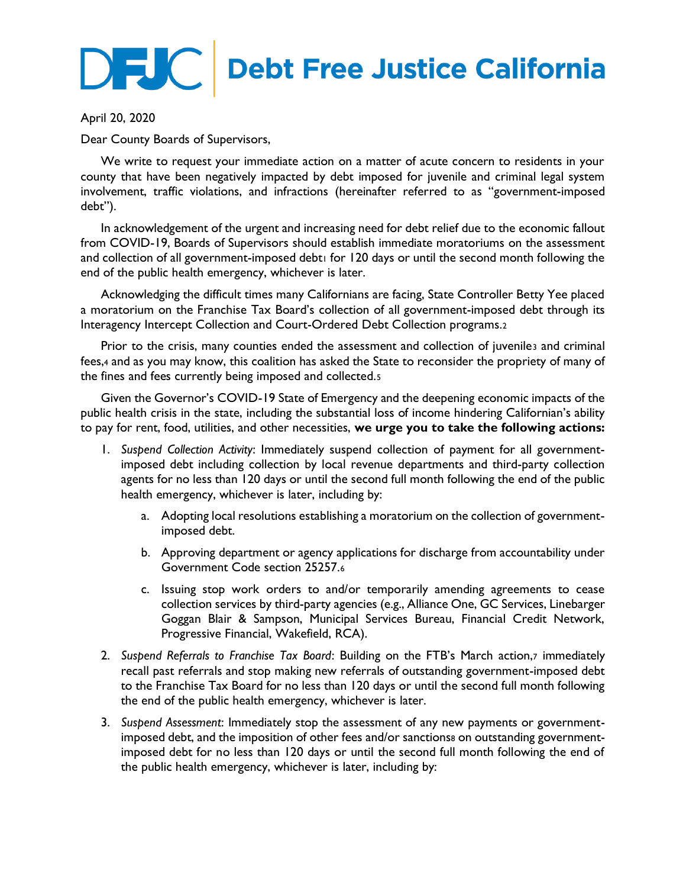## **DEC** Debt Free Justice California

April 20, 2020

Dear County Boards of Supervisors,

We write to request your immediate action on a matter of acute concern to residents in your county that have been negatively impacted by debt imposed for juvenile and criminal legal system involvement, traffic violations, and infractions (hereinafter referred to as "government-imposed debt").

In acknowledgement of the urgent and increasing need for debt relief due to the economic fallout from COVID-19, Boards of Supervisors should establish immediate moratoriums on the assessment and collection of all government-imposed debt1 for 120 days or until the second month following the end of the public health emergency, whichever is later.

Acknowledging the difficult times many Californians are facing, State Controller Betty Yee placed a moratorium on the Franchise Tax Board's collection of all government-imposed debt through its Interagency Intercept Collection and Court-Ordered Debt Collection programs.<sup>2</sup>

Prior to the crisis, many counties ended the assessment and collection of juvenile3 and criminal fees,<sup>4</sup> and as you may know, this coalition has asked the State to reconsider the propriety of many of the fines and fees currently being imposed and collected.<sup>5</sup>

Given the Governor's COVID-19 State of Emergency and the deepening economic impacts of the public health crisis in the state, including the substantial loss of income hindering Californian's ability to pay for rent, food, utilities, and other necessities, **we urge you to take the following actions:**

- 1. *Suspend Collection Activity*: Immediately suspend collection of payment for all governmentimposed debt including collection by local revenue departments and third-party collection agents for no less than 120 days or until the second full month following the end of the public health emergency, whichever is later, including by:
	- a. Adopting local resolutions establishing a moratorium on the collection of governmentimposed debt.
	- b. Approving department or agency applications for discharge from accountability under Government Code section 25257.<sup>6</sup>
	- c. Issuing stop work orders to and/or temporarily amending agreements to cease collection services by third-party agencies (e.g., Alliance One, GC Services, Linebarger Goggan Blair & Sampson, Municipal Services Bureau, Financial Credit Network, Progressive Financial, Wakefield, RCA).
- 2. *Suspend Referrals to Franchise Tax Board*: Building on the FTB's March action,<sup>7</sup> immediately recall past referrals and stop making new referrals of outstanding government-imposed debt to the Franchise Tax Board for no less than 120 days or until the second full month following the end of the public health emergency, whichever is later.
- 3. *Suspend Assessment*: Immediately stop the assessment of any new payments or governmentimposed debt, and the imposition of other fees and/or sanctionss on outstanding governmentimposed debt for no less than 120 days or until the second full month following the end of the public health emergency, whichever is later, including by: